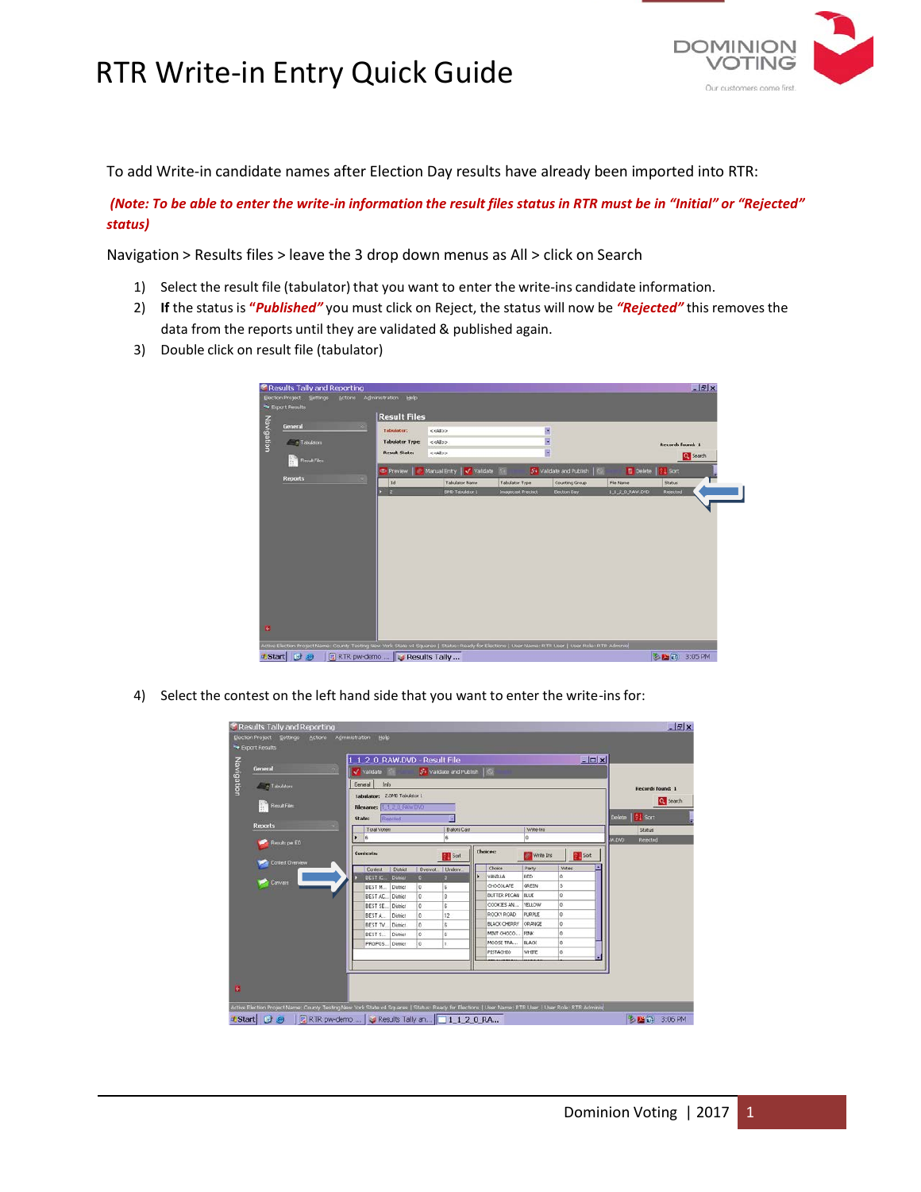## RTR Write-in Entry Quick Guide



To add Write-in candidate names after Election Day results have already been imported into RTR:

(Note: To be able to enter the write-in information the result files status in RTR must be in "Initial" or "Rejected" *status)*

Navigation > Results files > leave the 3 drop down menus as All > click on Search

- 1) Select the result file (tabulator) that you want to enter the write-ins candidate information.
- 2) **If** the status is **"***Published"* you must click on Reject, the status will now be *"Rejected"* this removesthe data from the reports until they are validated & published again.
- 3) Double click on result file (tabulator)

| Election Project Settings<br><b>Actions</b><br><b>No Export Results</b> | Administration Help    |                          |                       |                             |                 | $-17x$                  |  |
|-------------------------------------------------------------------------|------------------------|--------------------------|-----------------------|-----------------------------|-----------------|-------------------------|--|
|                                                                         | <b>Result Files</b>    |                          |                       |                             |                 |                         |  |
| Navigation<br>General                                                   | <b>Tabulator:</b>      | centos.                  | ×                     |                             |                 |                         |  |
| $=$ $=$ Tabulators                                                      | <b>Tabulator Type:</b> | $<<$ Alloo               | B                     |                             |                 | <b>Records found: 1</b> |  |
| <b>Result Files</b>                                                     | <b>Result State:</b>   | collos                   | E                     |                             |                 | e Search                |  |
|                                                                         | <b>E</b> Preview       | Manual Entry<br>Validate |                       | 5. Validate and Publish   C | <b>Delate</b>   | <b>Sort</b>             |  |
| <b>Reports</b>                                                          | 1d                     | <b>Tabulator Name</b>    | <b>Tabulator Type</b> | Counting Group              | File Name       | <b>Status</b>           |  |
|                                                                         | $\frac{1}{2}$<br>n     | <b>BND Tabulator 1</b>   | Imagecast Precinct    | Election Day                | 1.1.2.0.RAW.DVD | Rejected                |  |
|                                                                         |                        |                          |                       |                             |                 |                         |  |
|                                                                         |                        |                          |                       |                             |                 |                         |  |
| ø                                                                       |                        |                          |                       |                             |                 |                         |  |

4) Select the contest on the left hand side that you want to enter the write-ins for:

|                                                                 |    | <b>EDX</b><br>1 1 2 0 RAW.DVD - Result File |                                        |                |                     |  |                         |                      |          |                  |                                     |                  |
|-----------------------------------------------------------------|----|---------------------------------------------|----------------------------------------|----------------|---------------------|--|-------------------------|----------------------|----------|------------------|-------------------------------------|------------------|
| General                                                         | э, | Validate<br>5. Validate and Publish   C     |                                        |                |                     |  |                         |                      |          |                  |                                     |                  |
|                                                                 |    | General                                     |                                        |                |                     |  |                         |                      |          |                  |                                     |                  |
| $-$ - Tabulators                                                |    | <b>Info</b><br>Tabulator: 2.BMD Tabulator 1 |                                        |                |                     |  |                         |                      |          | Records found: 1 |                                     |                  |
|                                                                 |    |                                             |                                        | C. Search      |                     |  |                         |                      |          |                  |                                     |                  |
| <b>Result Files</b>                                             |    | Filename:   1 1 0 RAW DVD                   |                                        |                |                     |  |                         |                      |          |                  |                                     |                  |
|                                                                 |    | State:                                      | Resulted                               |                |                     |  |                         |                      |          |                  |                                     | Delete   21 Sort |
| <b>Reports</b><br>Results per ED<br>Contest Overview<br>Convass |    | Total Voters                                |                                        |                | <b>Ballots Cast</b> |  |                         | Write-Ins            |          |                  | Status<br><b>OVO.WA</b><br>Rejected |                  |
|                                                                 |    |                                             |                                        |                |                     |  |                         |                      |          |                  |                                     |                  |
|                                                                 |    | Contests:                                   |                                        |                | Sort                |  | <b>Choices:</b>         | Write Ins            |          | Sort             |                                     |                  |
|                                                                 |    | Contest<br><b>BEST IC</b>                   | Dighied<br><b>District</b><br>$\Omega$ | <b>Overvot</b> | <b>Underv</b>       |  | <b>Choice</b>           | Party                |          | <b>Votes</b>     |                                     |                  |
|                                                                 |    |                                             |                                        |                |                     |  | VANILLA                 | RED                  |          |                  |                                     |                  |
|                                                                 |    | <b>BEST M</b>                               | <b>District</b>                        | 0              | G                   |  |                         | <b>OKOCOLATE</b>     | GREEN    |                  |                                     |                  |
|                                                                 |    | <b>BESTAC</b>                               | <b>District</b>                        | o              | $\circ$             |  | BUTTER PECAN BLUE       |                      | lö       |                  |                                     |                  |
|                                                                 |    | DEST SE                                     | District                               | O              | Ġ                   |  | COOKIES AN              | <b>YELLOW</b>        | o        |                  |                                     |                  |
|                                                                 |    | BESTA.                                      | District                               | o              | 12                  |  | ROCKY ROAD              | PURPLE               | lo       |                  |                                     |                  |
|                                                                 |    | <b>BEST TV.</b> District                    |                                        | ۱o             | g.                  |  | BLACK CHERRY CRANGE     |                      | lo       |                  |                                     |                  |
|                                                                 |    | BEST S.                                     | District                               | o              | 6                   |  | MINT CHOCO<br>MOOSE TRA | PINK<br><b>BLACK</b> | ١a<br>١a |                  |                                     |                  |
|                                                                 |    | PROPOS District                             |                                        | o              |                     |  | PISTACHIO               | WHITE                | ١ō       |                  |                                     |                  |
|                                                                 |    |                                             |                                        |                |                     |  |                         |                      |          | σ                |                                     |                  |
|                                                                 |    |                                             |                                        |                |                     |  |                         |                      |          |                  |                                     |                  |
|                                                                 |    |                                             |                                        |                |                     |  |                         |                      |          |                  |                                     |                  |
|                                                                 |    |                                             |                                        |                |                     |  |                         |                      |          |                  |                                     |                  |